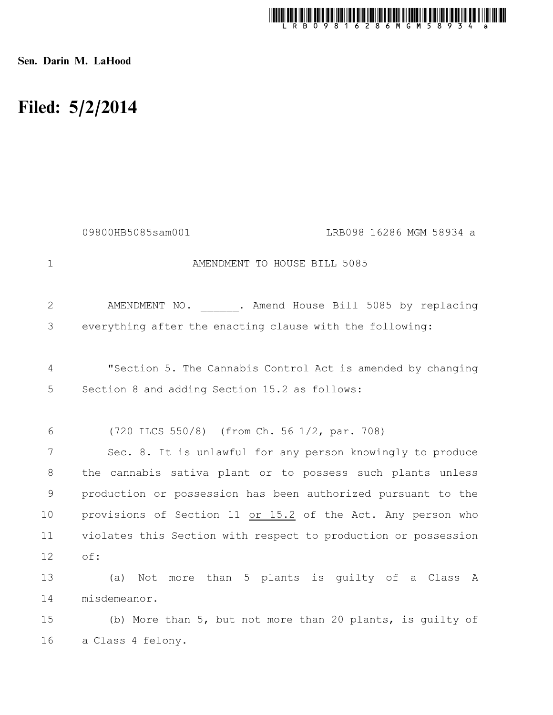

Sen. Darin M. LaHood

## Filed: 5/2/2014

|             | 09800HB5085sam001<br>LRB098 16286 MGM 58934 a                  |  |
|-------------|----------------------------------------------------------------|--|
| $\mathbf 1$ | AMENDMENT TO HOUSE BILL 5085                                   |  |
| 2           | AMENDMENT NO. . Amend House Bill 5085 by replacing             |  |
| 3           | everything after the enacting clause with the following:       |  |
| 4           | "Section 5. The Cannabis Control Act is amended by changing    |  |
| 5           | Section 8 and adding Section 15.2 as follows:                  |  |
| 6           | (720 ILCS 550/8) (from Ch. 56 1/2, par. 708)                   |  |
| 7           | Sec. 8. It is unlawful for any person knowingly to produce     |  |
| 8           | the cannabis sativa plant or to possess such plants unless     |  |
| 9           | production or possession has been authorized pursuant to the   |  |
| 10          | provisions of Section 11 or 15.2 of the Act. Any person who    |  |
| 11          | violates this Section with respect to production or possession |  |
| 12          | of:                                                            |  |
| 13          | Not more than 5 plants is quilty of a Class A<br>(a)           |  |
| 14          | misdemeanor.                                                   |  |
| 15          | (b) More than 5, but not more than 20 plants, is guilty of     |  |
| 16          | a Class 4 felony.                                              |  |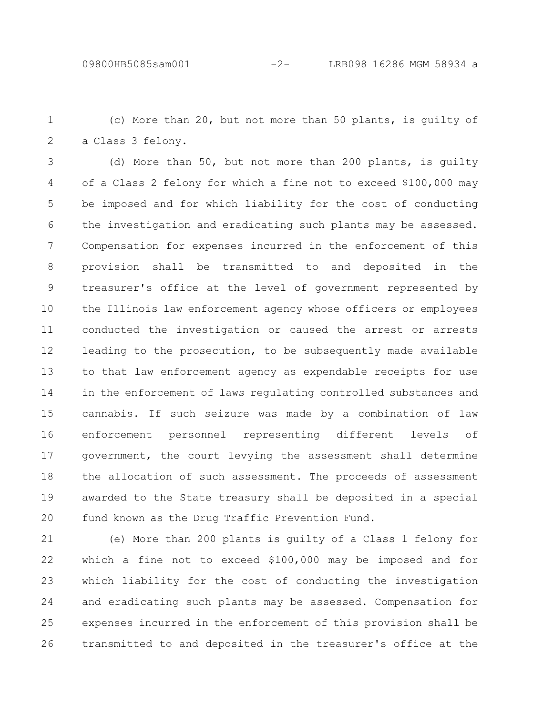(c) More than 20, but not more than 50 plants, is guilty of a Class 3 felony. 1 2

(d) More than 50, but not more than 200 plants, is guilty of a Class 2 felony for which a fine not to exceed \$100,000 may be imposed and for which liability for the cost of conducting the investigation and eradicating such plants may be assessed. Compensation for expenses incurred in the enforcement of this provision shall be transmitted to and deposited in the treasurer's office at the level of government represented by the Illinois law enforcement agency whose officers or employees conducted the investigation or caused the arrest or arrests leading to the prosecution, to be subsequently made available to that law enforcement agency as expendable receipts for use in the enforcement of laws regulating controlled substances and cannabis. If such seizure was made by a combination of law enforcement personnel representing different levels of government, the court levying the assessment shall determine the allocation of such assessment. The proceeds of assessment awarded to the State treasury shall be deposited in a special fund known as the Drug Traffic Prevention Fund. 3 4 5 6 7 8 9 10 11 12 13 14 15 16 17 18 19 20

(e) More than 200 plants is guilty of a Class 1 felony for which a fine not to exceed \$100,000 may be imposed and for which liability for the cost of conducting the investigation and eradicating such plants may be assessed. Compensation for expenses incurred in the enforcement of this provision shall be transmitted to and deposited in the treasurer's office at the 21 22 23 24 25 26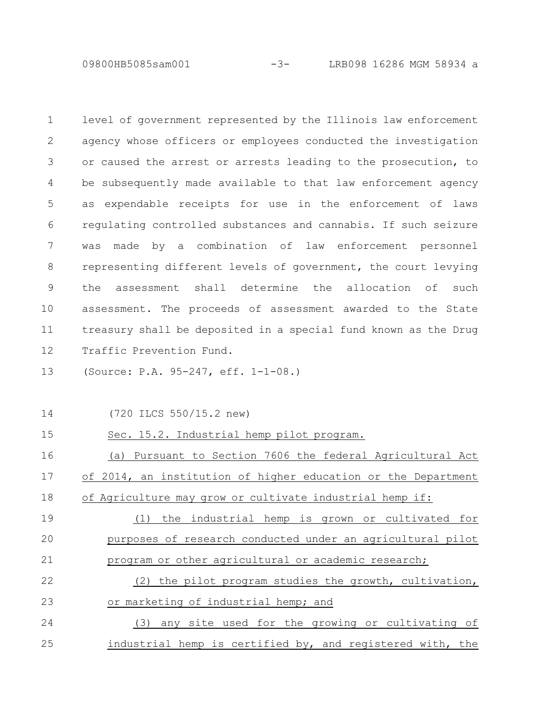09800HB5085sam001 -3- LRB098 16286 MGM 58934 a

level of government represented by the Illinois law enforcement agency whose officers or employees conducted the investigation or caused the arrest or arrests leading to the prosecution, to be subsequently made available to that law enforcement agency as expendable receipts for use in the enforcement of laws regulating controlled substances and cannabis. If such seizure was made by a combination of law enforcement personnel representing different levels of government, the court levying the assessment shall determine the allocation of such assessment. The proceeds of assessment awarded to the State treasury shall be deposited in a special fund known as the Drug Traffic Prevention Fund. 1 2 3 4 5 6 7 8 9 10 11 12

(Source: P.A. 95-247, eff. 1-1-08.) 13

14

## 15

(720 ILCS 550/15.2 new)

Sec. 15.2. Industrial hemp pilot program.

(a) Pursuant to Section 7606 the federal Agricultural Act of 2014, an institution of higher education or the Department of Agriculture may grow or cultivate industrial hemp if: 16 17 18

(1) the industrial hemp is grown or cultivated for purposes of research conducted under an agricultural pilot program or other agricultural or academic research; 19 20 21

(2) the pilot program studies the growth, cultivation, or marketing of industrial hemp; and 22 23

(3) any site used for the growing or cultivating of industrial hemp is certified by, and registered with, the 24 25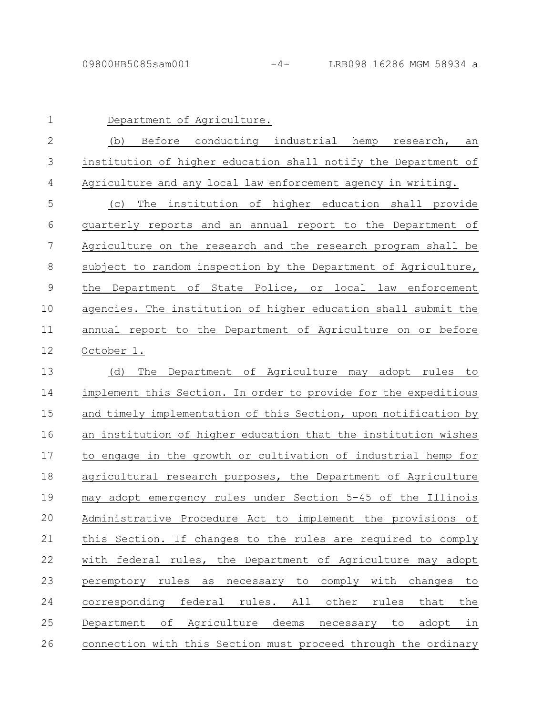| $\mathbf 1$   | Department of Agriculture.                                      |
|---------------|-----------------------------------------------------------------|
| $\mathbf{2}$  | Before conducting industrial hemp<br>(b)<br>research,<br>an     |
| 3             | institution of higher education shall notify the Department of  |
| 4             | Agriculture and any local law enforcement agency in writing.    |
| 5             | The institution of higher education shall provide<br>(C)        |
| 6             | quarterly reports and an annual report to the Department of     |
| 7             | Agriculture on the research and the research program shall be   |
| 8             | subject to random inspection by the Department of Agriculture,  |
| $\mathcal{G}$ | Department of State Police, or local law enforcement<br>the     |
| 10            | agencies. The institution of higher education shall submit the  |
| 11            | annual report to the Department of Agriculture on or before     |
| 12            | October 1.                                                      |
| 13            | Department of Agriculture may adopt rules to<br>(d)<br>The      |
| 14            | implement this Section. In order to provide for the expeditious |
| 15            | and timely implementation of this Section, upon notification by |
| 16            | an institution of higher education that the institution wishes  |
| 17            | to engage in the growth or cultivation of industrial hemp for   |
| 18            | agricultural research purposes, the Department of Agriculture   |
| 19            | may adopt emergency rules under Section 5-45 of the Illinois    |
| 20            | Administrative Procedure Act to implement the provisions of     |
| 21            | this Section. If changes to the rules are required to comply    |
| 22            | with federal rules, the Department of Agriculture may adopt     |
| 23            | peremptory rules as necessary to comply with changes to         |
| 24            | corresponding federal rules. All other rules that<br>the        |
| 25            | Department of Agriculture deems necessary to adopt in           |
| 26            | connection with this Section must proceed through the ordinary  |